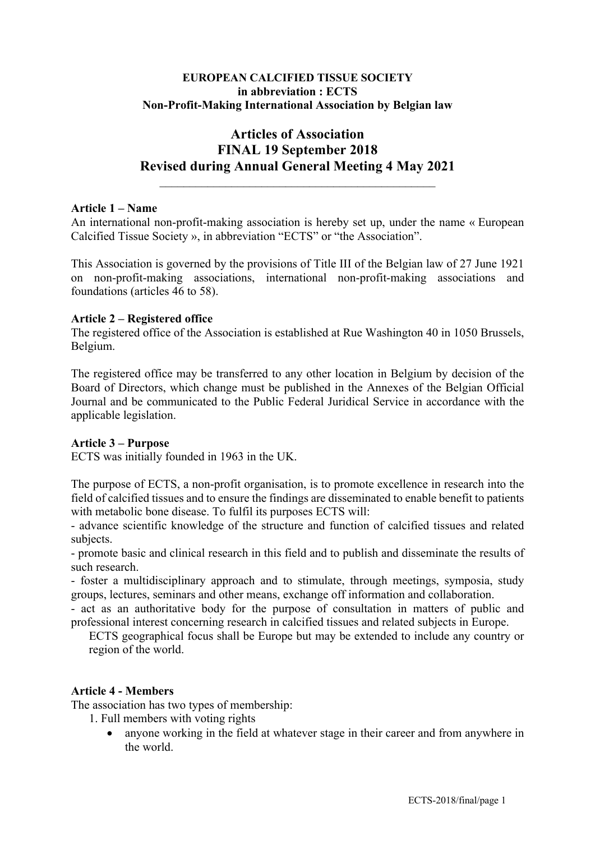## **EUROPEAN CALCIFIED TISSUE SOCIETY in abbreviation : ECTS Non-Profit-Making International Association by Belgian law**

# **Articles of Association FINAL 19 September 2018 Revised during Annual General Meeting 4 May 2021**

#### **Article 1 – Name**

An international non-profit-making association is hereby set up, under the name « European Calcified Tissue Society », in abbreviation "ECTS" or "the Association".

This Association is governed by the provisions of Title III of the Belgian law of 27 June 1921 on non-profit-making associations, international non-profit-making associations and foundations (articles 46 to 58).

#### **Article 2 – Registered office**

The registered office of the Association is established at Rue Washington 40 in 1050 Brussels, Belgium.

The registered office may be transferred to any other location in Belgium by decision of the Board of Directors, which change must be published in the Annexes of the Belgian Official Journal and be communicated to the Public Federal Juridical Service in accordance with the applicable legislation.

#### **Article 3 – Purpose**

ECTS was initially founded in 1963 in the UK.

The purpose of ECTS, a non-profit organisation, is to promote excellence in research into the field of calcified tissues and to ensure the findings are disseminated to enable benefit to patients with metabolic bone disease. To fulfil its purposes ECTS will:

- advance scientific knowledge of the structure and function of calcified tissues and related subjects.

- promote basic and clinical research in this field and to publish and disseminate the results of such research.

- foster a multidisciplinary approach and to stimulate, through meetings, symposia, study groups, lectures, seminars and other means, exchange off information and collaboration.

- act as an authoritative body for the purpose of consultation in matters of public and professional interest concerning research in calcified tissues and related subjects in Europe.

ECTS geographical focus shall be Europe but may be extended to include any country or region of the world.

#### **Article 4 - Members**

The association has two types of membership:

1. Full members with voting rights

• anyone working in the field at whatever stage in their career and from anywhere in the world.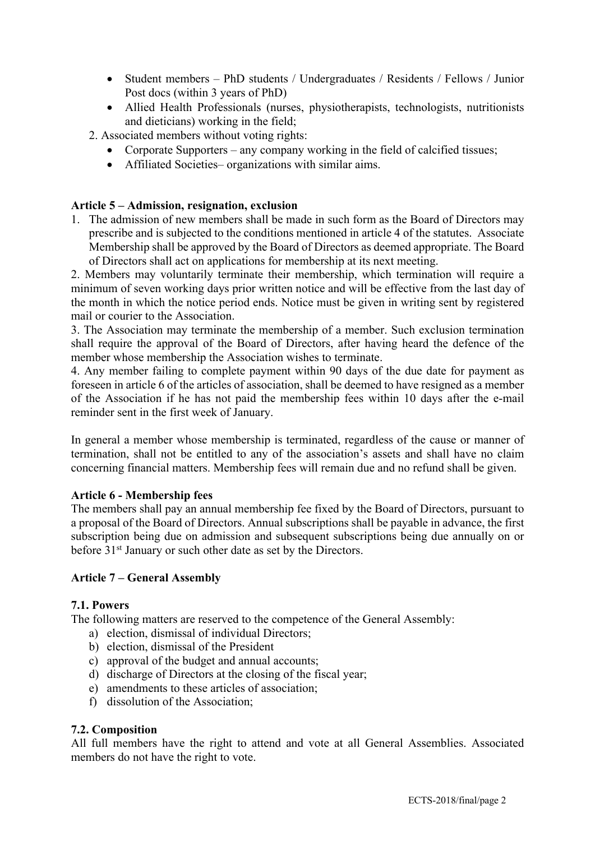- Student members PhD students / Undergraduates / Residents / Fellows / Junior Post docs (within 3 years of PhD)
- Allied Health Professionals (nurses, physiotherapists, technologists, nutritionists and dieticians) working in the field;
- 2. Associated members without voting rights:
	- Corporate Supporters any company working in the field of calcified tissues;
	- Affiliated Societies– organizations with similar aims.

## **Article 5 – Admission, resignation, exclusion**

1. The admission of new members shall be made in such form as the Board of Directors may prescribe and is subjected to the conditions mentioned in article 4 of the statutes. Associate Membership shall be approved by the Board of Directors as deemed appropriate. The Board of Directors shall act on applications for membership at its next meeting.

2. Members may voluntarily terminate their membership, which termination will require a minimum of seven working days prior written notice and will be effective from the last day of the month in which the notice period ends. Notice must be given in writing sent by registered mail or courier to the Association.

3. The Association may terminate the membership of a member. Such exclusion termination shall require the approval of the Board of Directors, after having heard the defence of the member whose membership the Association wishes to terminate.

4. Any member failing to complete payment within 90 days of the due date for payment as foreseen in article 6 of the articles of association, shall be deemed to have resigned as a member of the Association if he has not paid the membership fees within 10 days after the e-mail reminder sent in the first week of January.

In general a member whose membership is terminated, regardless of the cause or manner of termination, shall not be entitled to any of the association's assets and shall have no claim concerning financial matters. Membership fees will remain due and no refund shall be given.

#### **Article 6 - Membership fees**

The members shall pay an annual membership fee fixed by the Board of Directors, pursuant to a proposal of the Board of Directors. Annual subscriptions shall be payable in advance, the first subscription being due on admission and subsequent subscriptions being due annually on or before 31<sup>st</sup> January or such other date as set by the Directors.

#### **Article 7 – General Assembly**

#### **7.1. Powers**

The following matters are reserved to the competence of the General Assembly:

- a) election, dismissal of individual Directors;
- b) election, dismissal of the President
- c) approval of the budget and annual accounts;
- d) discharge of Directors at the closing of the fiscal year;
- e) amendments to these articles of association;
- f) dissolution of the Association;

## **7.2. Composition**

All full members have the right to attend and vote at all General Assemblies. Associated members do not have the right to vote.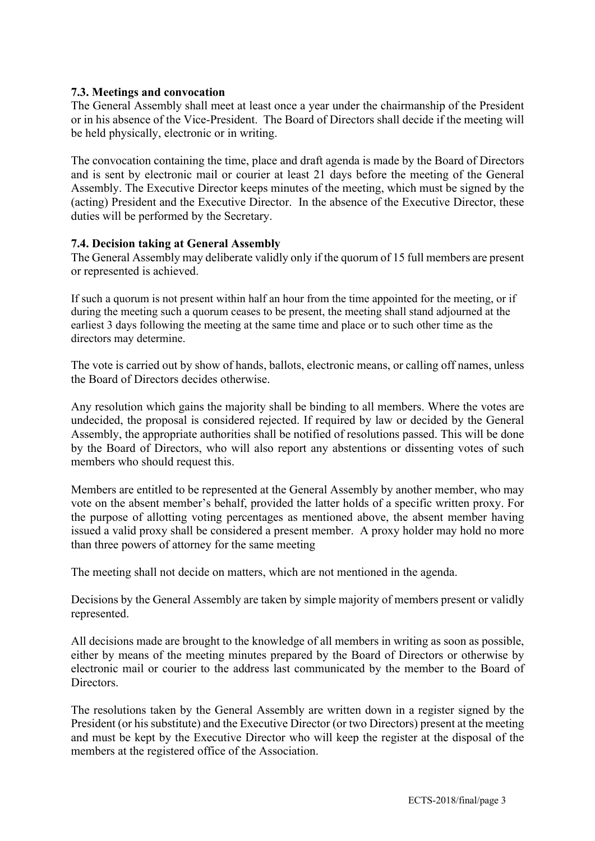## **7.3. Meetings and convocation**

The General Assembly shall meet at least once a year under the chairmanship of the President or in his absence of the Vice-President. The Board of Directors shall decide if the meeting will be held physically, electronic or in writing.

The convocation containing the time, place and draft agenda is made by the Board of Directors and is sent by electronic mail or courier at least 21 days before the meeting of the General Assembly. The Executive Director keeps minutes of the meeting, which must be signed by the (acting) President and the Executive Director. In the absence of the Executive Director, these duties will be performed by the Secretary.

## **7.4. Decision taking at General Assembly**

The General Assembly may deliberate validly only if the quorum of 15 full members are present or represented is achieved.

If such a quorum is not present within half an hour from the time appointed for the meeting, or if during the meeting such a quorum ceases to be present, the meeting shall stand adjourned at the earliest 3 days following the meeting at the same time and place or to such other time as the directors may determine.

The vote is carried out by show of hands, ballots, electronic means, or calling off names, unless the Board of Directors decides otherwise.

Any resolution which gains the majority shall be binding to all members. Where the votes are undecided, the proposal is considered rejected. If required by law or decided by the General Assembly, the appropriate authorities shall be notified of resolutions passed. This will be done by the Board of Directors, who will also report any abstentions or dissenting votes of such members who should request this.

Members are entitled to be represented at the General Assembly by another member, who may vote on the absent member's behalf, provided the latter holds of a specific written proxy. For the purpose of allotting voting percentages as mentioned above, the absent member having issued a valid proxy shall be considered a present member. A proxy holder may hold no more than three powers of attorney for the same meeting

The meeting shall not decide on matters, which are not mentioned in the agenda.

Decisions by the General Assembly are taken by simple majority of members present or validly represented.

All decisions made are brought to the knowledge of all members in writing as soon as possible, either by means of the meeting minutes prepared by the Board of Directors or otherwise by electronic mail or courier to the address last communicated by the member to the Board of Directors.

The resolutions taken by the General Assembly are written down in a register signed by the President (or his substitute) and the Executive Director (or two Directors) present at the meeting and must be kept by the Executive Director who will keep the register at the disposal of the members at the registered office of the Association.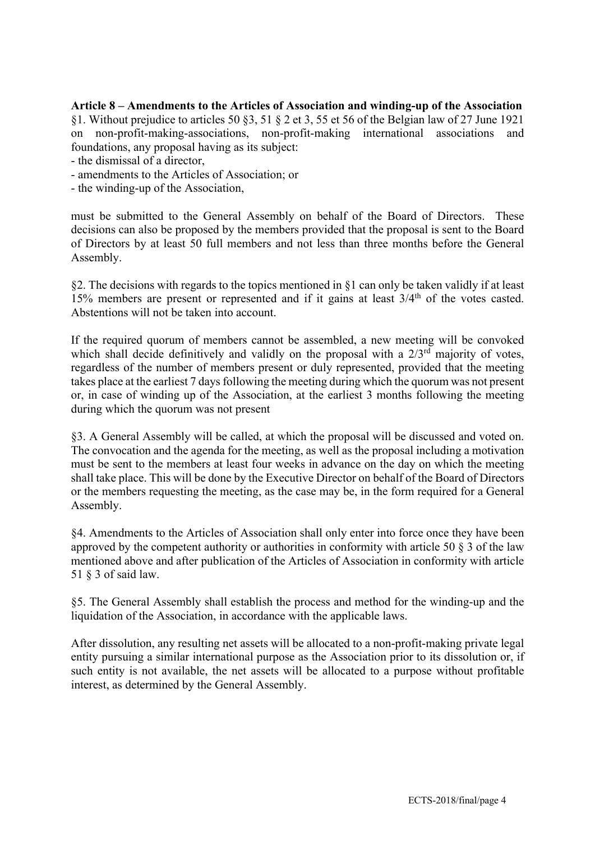**Article 8 – Amendments to the Articles of Association and winding-up of the Association** §1. Without prejudice to articles 50 §3, 51 § 2 et 3, 55 et 56 of the Belgian law of 27 June 1921 on non-profit-making-associations, non-profit-making international associations and foundations, any proposal having as its subject:

- the dismissal of a director,
- amendments to the Articles of Association; or
- the winding-up of the Association,

must be submitted to the General Assembly on behalf of the Board of Directors. These decisions can also be proposed by the members provided that the proposal is sent to the Board of Directors by at least 50 full members and not less than three months before the General Assembly.

§2. The decisions with regards to the topics mentioned in §1 can only be taken validly if at least 15% members are present or represented and if it gains at least  $3/4<sup>th</sup>$  of the votes casted. Abstentions will not be taken into account.

If the required quorum of members cannot be assembled, a new meeting will be convoked which shall decide definitively and validly on the proposal with a  $2/3<sup>rd</sup>$  majority of votes, regardless of the number of members present or duly represented, provided that the meeting takes place at the earliest 7 days following the meeting during which the quorum was not present or, in case of winding up of the Association, at the earliest 3 months following the meeting during which the quorum was not present

§3. A General Assembly will be called, at which the proposal will be discussed and voted on. The convocation and the agenda for the meeting, as well as the proposal including a motivation must be sent to the members at least four weeks in advance on the day on which the meeting shall take place. This will be done by the Executive Director on behalf of the Board of Directors or the members requesting the meeting, as the case may be, in the form required for a General Assembly.

§4. Amendments to the Articles of Association shall only enter into force once they have been approved by the competent authority or authorities in conformity with article 50  $\S$  3 of the law mentioned above and after publication of the Articles of Association in conformity with article 51 § 3 of said law.

§5. The General Assembly shall establish the process and method for the winding-up and the liquidation of the Association, in accordance with the applicable laws.

After dissolution, any resulting net assets will be allocated to a non-profit-making private legal entity pursuing a similar international purpose as the Association prior to its dissolution or, if such entity is not available, the net assets will be allocated to a purpose without profitable interest, as determined by the General Assembly.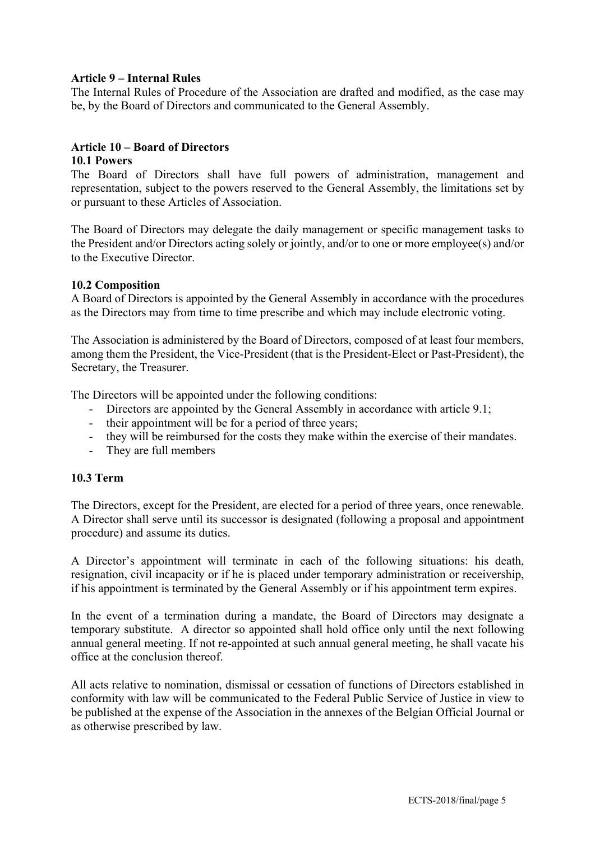## **Article 9 – Internal Rules**

The Internal Rules of Procedure of the Association are drafted and modified, as the case may be, by the Board of Directors and communicated to the General Assembly.

### **Article 10 – Board of Directors**

#### **10.1 Powers**

The Board of Directors shall have full powers of administration, management and representation, subject to the powers reserved to the General Assembly, the limitations set by or pursuant to these Articles of Association.

The Board of Directors may delegate the daily management or specific management tasks to the President and/or Directors acting solely or jointly, and/or to one or more employee(s) and/or to the Executive Director.

## **10.2 Composition**

A Board of Directors is appointed by the General Assembly in accordance with the procedures as the Directors may from time to time prescribe and which may include electronic voting.

The Association is administered by the Board of Directors, composed of at least four members, among them the President, the Vice-President (that is the President-Elect or Past-President), the Secretary, the Treasurer.

The Directors will be appointed under the following conditions:

- Directors are appointed by the General Assembly in accordance with article 9.1;
- their appointment will be for a period of three years;
- they will be reimbursed for the costs they make within the exercise of their mandates.
- They are full members

#### **10.3 Term**

The Directors, except for the President, are elected for a period of three years, once renewable. A Director shall serve until its successor is designated (following a proposal and appointment procedure) and assume its duties.

A Director's appointment will terminate in each of the following situations: his death, resignation, civil incapacity or if he is placed under temporary administration or receivership, if his appointment is terminated by the General Assembly or if his appointment term expires.

In the event of a termination during a mandate, the Board of Directors may designate a temporary substitute. A director so appointed shall hold office only until the next following annual general meeting. If not re-appointed at such annual general meeting, he shall vacate his office at the conclusion thereof.

All acts relative to nomination, dismissal or cessation of functions of Directors established in conformity with law will be communicated to the Federal Public Service of Justice in view to be published at the expense of the Association in the annexes of the Belgian Official Journal or as otherwise prescribed by law.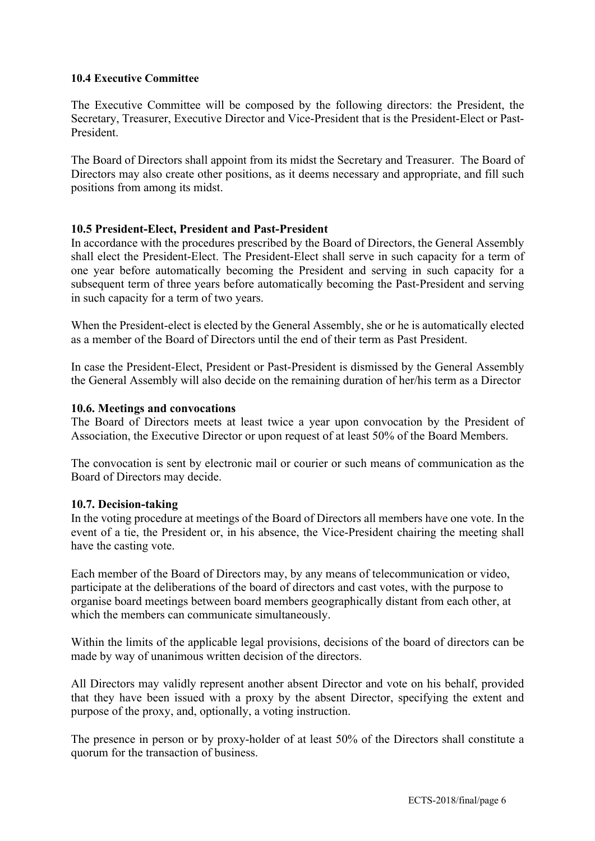### **10.4 Executive Committee**

The Executive Committee will be composed by the following directors: the President, the Secretary, Treasurer, Executive Director and Vice-President that is the President-Elect or Past-President.

The Board of Directors shall appoint from its midst the Secretary and Treasurer. The Board of Directors may also create other positions, as it deems necessary and appropriate, and fill such positions from among its midst.

## **10.5 President-Elect, President and Past-President**

In accordance with the procedures prescribed by the Board of Directors, the General Assembly shall elect the President-Elect. The President-Elect shall serve in such capacity for a term of one year before automatically becoming the President and serving in such capacity for a subsequent term of three years before automatically becoming the Past-President and serving in such capacity for a term of two years.

When the President-elect is elected by the General Assembly, she or he is automatically elected as a member of the Board of Directors until the end of their term as Past President.

In case the President-Elect, President or Past-President is dismissed by the General Assembly the General Assembly will also decide on the remaining duration of her/his term as a Director

#### **10.6. Meetings and convocations**

The Board of Directors meets at least twice a year upon convocation by the President of Association, the Executive Director or upon request of at least 50% of the Board Members.

The convocation is sent by electronic mail or courier or such means of communication as the Board of Directors may decide.

#### **10.7. Decision-taking**

In the voting procedure at meetings of the Board of Directors all members have one vote. In the event of a tie, the President or, in his absence, the Vice-President chairing the meeting shall have the casting vote.

Each member of the Board of Directors may, by any means of telecommunication or video, participate at the deliberations of the board of directors and cast votes, with the purpose to organise board meetings between board members geographically distant from each other, at which the members can communicate simultaneously.

Within the limits of the applicable legal provisions, decisions of the board of directors can be made by way of unanimous written decision of the directors.

All Directors may validly represent another absent Director and vote on his behalf, provided that they have been issued with a proxy by the absent Director, specifying the extent and purpose of the proxy, and, optionally, a voting instruction.

The presence in person or by proxy-holder of at least 50% of the Directors shall constitute a quorum for the transaction of business.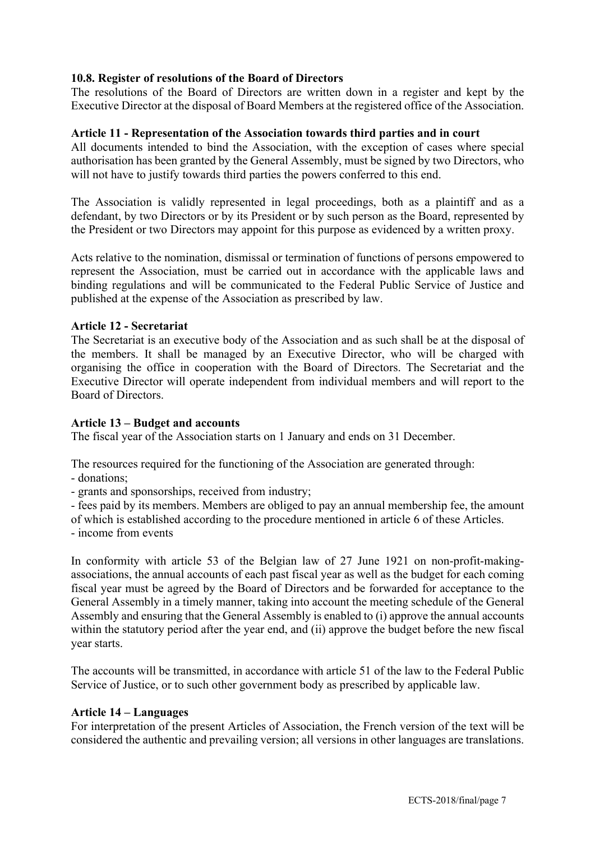## **10.8. Register of resolutions of the Board of Directors**

The resolutions of the Board of Directors are written down in a register and kept by the Executive Director at the disposal of Board Members at the registered office of the Association.

#### **Article 11 - Representation of the Association towards third parties and in court**

All documents intended to bind the Association, with the exception of cases where special authorisation has been granted by the General Assembly, must be signed by two Directors, who will not have to justify towards third parties the powers conferred to this end.

The Association is validly represented in legal proceedings, both as a plaintiff and as a defendant, by two Directors or by its President or by such person as the Board, represented by the President or two Directors may appoint for this purpose as evidenced by a written proxy.

Acts relative to the nomination, dismissal or termination of functions of persons empowered to represent the Association, must be carried out in accordance with the applicable laws and binding regulations and will be communicated to the Federal Public Service of Justice and published at the expense of the Association as prescribed by law.

## **Article 12 - Secretariat**

The Secretariat is an executive body of the Association and as such shall be at the disposal of the members. It shall be managed by an Executive Director, who will be charged with organising the office in cooperation with the Board of Directors. The Secretariat and the Executive Director will operate independent from individual members and will report to the Board of Directors.

#### **Article 13 – Budget and accounts**

The fiscal year of the Association starts on 1 January and ends on 31 December.

The resources required for the functioning of the Association are generated through:

- donations;
- grants and sponsorships, received from industry;

- fees paid by its members. Members are obliged to pay an annual membership fee, the amount

of which is established according to the procedure mentioned in article 6 of these Articles.

- income from events

In conformity with article 53 of the Belgian law of 27 June 1921 on non-profit-makingassociations, the annual accounts of each past fiscal year as well as the budget for each coming fiscal year must be agreed by the Board of Directors and be forwarded for acceptance to the General Assembly in a timely manner, taking into account the meeting schedule of the General Assembly and ensuring that the General Assembly is enabled to (i) approve the annual accounts within the statutory period after the year end, and (ii) approve the budget before the new fiscal year starts.

The accounts will be transmitted, in accordance with article 51 of the law to the Federal Public Service of Justice, or to such other government body as prescribed by applicable law.

#### **Article 14 – Languages**

For interpretation of the present Articles of Association, the French version of the text will be considered the authentic and prevailing version; all versions in other languages are translations.